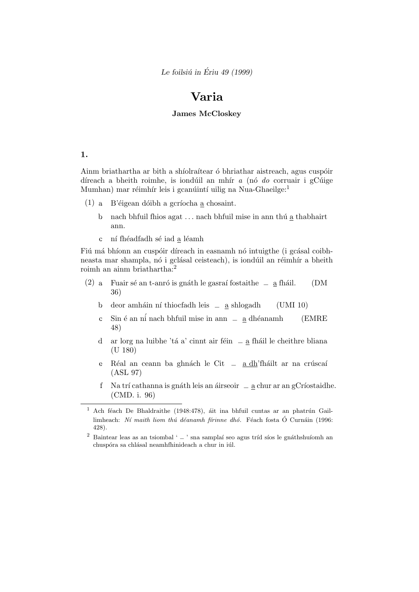Le foilsiú in Ériu 49 (1999)

# Varia

# James McCloskey

#### 1.

Ainm briathartha ar bith a shíolraítear ó bhriathar aistreach, agus cuspóir díreach a bheith roimhe, is iondúil an mhír  $a$  (nó do corruair i gCúige Mumhan) mar réimhír leis i gcanúintí uilig na Nua-Ghaeilge:<sup>1</sup>

- (1) a. B'éigean dóibh a gcríocha a chosaint.
	- b. nach bhfuil fhios agat ... nach bhfuil mise in ann thú  $\underline{a}$  thabhairt ann.
	- c  $\;$ ní fhéadfadh sé iad $\underline{a}$ léamh

Fiú má bhíonn an cuspóir díreach in easnamh nó intuigthe (i gcásal coibhneasta mar shampla, nó i gclásal ceisteach), is iondúil an réimhír a bheith roimh an ainm briathartha:<sup>2</sup>

- (2) a Fuair sé an t-anró is gnáth le gasraí fostaithe  $-$  a fháil. (DM 36)
	- $b \quad$  deor amháin ní thiocfadh leis  $=$  a shlogadh (UMI 10)
	- c. Sin é an ní nach bhfuil mise in ann  $a$  dhéanamh (EMRE 48)
	- d ar lorg na luibhe 'tá a' cinnt air féin <u>a</u> fháil le cheithre bliana (U 180)
	- e. Réal an ceann ba ghnách le Cit  $=$   $\frac{a \, dh}{h}$ 'fháilt ar na crúscaí (ASL 97)
	- f. Na trí cathanna is gnáth leis an áirseoir  $a_n = \frac{a_n}{a_n}$ chur ar an gCríostaidhe. (CMD. i. 96)

 $1$  Ach féach De Bhaldraithe (1948:478), áit ina bhfuil cuntas ar an phatrún Gaillimheach: Ní maith liom thú déanamh fírinne dhó. Féach fosta Ó Curnáin (1996: 428).

 $^2\,$  Baintear leas as an tsiombal '  $\_$  ' sna samplaí seo agus tríd síos le gnáthshuíomh an chuspóra sa chlásal neamhfhinideach a chur in iúl.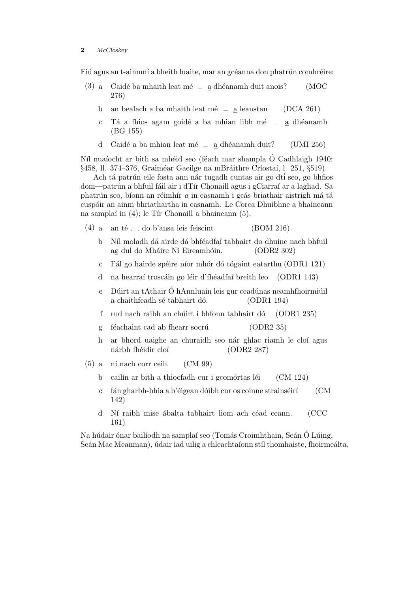Fiú agus an t-ainmní a bheith luaite, mar an gcéanna don phatrún comhréire:

- (3) a Caidé ba mhaith leat mé  $\frac{a}{a}$  dhéanamh duit anois? (MOC 276)
	- b an bealach a ba mhaith leat mé  $=$  a leanstan (DCA 261)
	- c. Tá a fhios agam goidé a ba mhian libh mé  $-$  a dhéanamh (BG 155)
	- d. Caidé a ba mhian leat mé  $=$  a dhéanamh duit? (UMI 256)

Níl nuaíocht ar bith sa mhéid seo (féach mar shampla Ó Cadhlaigh 1940: §458, ll. 374–376, Graiméar Gaeilge na mBráithre Críostaí, l. 251, §519).

Ach tá patrún eile fosta ann nár tugadh cuntas air go dtí seo, go bhfios dom—patrún a bhfuil fáil air i dTír Chonaill agus i gCiarraí ar a laghad. Sa phatrún seo, bíonn an réimhír  $a$  in easnamh i gcás briathair aistrigh má tá cusp´oir an ainm bhriathartha in easnamh. Le Corca Dhuibhne a bhaineann na samplaí in  $(4)$ ; le Tír Chonaill a bhaineann  $(5)$ .

- (4) a. an té ... do b'ansa leis feiscint (BOM 216)
	- b. Níl moladh dá airde dá bhféadfaí tabhairt do dhuine nach bhfuil ag dul do Mháire Ní Eireamhóin. (ODR2 302)
	- c. Fál go hairde spéire níor mhór dó tógaint eatarthu (ODR1 121)
	- d na hearraí troscáin go léir d'fhéadfaí breith leo (ODR1 143)
	- $e$  Dúirt an tAthair Ó hAnnluain leis gur ceadúnas neamhfhoirmiúil a chaithfeadh sé tabhairt dó. (ODR1 194)
	- f. rud nach raibh an chúirt i bhfonn tabhairt dó  $(ODR1 235)$
	- g féachaint cad ab fhearr socrú (ODR2 35)
	- h ar bhord uaighe an churaidh seo nár ghlac riamh le cloí agus nárbh fhéidir cloí (ODR2 287)
- $(5)$  a ní nach corr ceilt  $(CM 99)$ 
	- b cailín ar bith a thiocfadh cur i gcomórtas léi (CM 124)
	- c. fán gharbh-bhia a b'éigean dóibh cur os coinne strainséirí  $\rm CM$ 142)
	- d. Ní raibh mise ábalta tabhairt liom ach céad ceann. (CCC 161)

Na húdair ónar bailíodh na samplaí seo (Tomás Croimhthain, Seán Ó Lúing, Seán Mac Meanman), údair iad uilig a chleachtaíonn stíl thomhaiste, fhoirmeálta,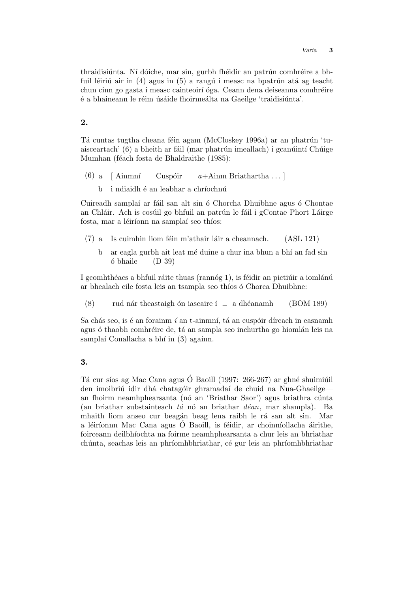Varia 3

thraidisiúnta. Ní dóiche, mar sin, gurbh fhéidir an patrún comhréire a bhfuil léiriú air in (4) agus in (5) a rangú i measc na bpatrún atá ag teacht chun cinn go gasta i measc cainteoirí óga. Ceann dena deiseanna comhréire é a bhaineann le réim úsáide fhoirmeálta na Gaeilge 'traidisiúnta'.

## 2.

Tá cuntas tugtha cheana féin agam (McCloskey 1996a) ar an phatrún 'tuaisceartach' (6) a bheith ar fáil (mar phatrún imeallach) i gcanúintí Chúige Mumhan (féach fosta de Bhaldraithe (1985):

- (6) a  $\left[$  Ainmní Cuspóir  $a +$ Ainm Briathartha ...
	- b. i ndiaidh é an leabhar a chríochnú

Cuireadh samplaí ar fáil san alt sin ó Chorcha Dhuibhne agus ó Chontae an Chláir. Ach is cosúil go bhfuil an patrún le fáil i gContae Phort Láirge fosta, mar a léiríonn na samplaí seo thíos:

- $(7)$  a Is cuimhin liom féin m'athair láir a cheannach. (ASL 121)
	- b. ar eagla gurbh ait leat mé duine a chur ina bhun a bhí an fad sin  $\delta$  bhaile (D 39)

I gcomhthéacs a bhfuil ráite thuas (rannóg 1), is féidir an pictiúir a iomlánú ar bhealach eile fosta leis an tsampla seo thíos ó Chorca Dhuibhne:

(8) rud nár theastaigh ón iascaire í  $=$  a dhéanamh (BOM 189)

Sa chás seo, is é an forainm  $i$  an t-ainmní, tá an cuspóir díreach in easnamh agus ó thaobh comhréire de, tá an sampla seo inchurtha go hiomlán leis na samplaí Conallacha a bhí in (3) againn.

# 3.

Tá cur síos ag Mac Cana agus Ó Baoill (1997: 266-267) ar ghné shuimiúil den imoibriú idir dhá chatagóir ghramadaí de chuid na Nua-Ghaeilgean fhoirm neamhphearsanta (nó an 'Briathar Saor') agus briathra cúnta (an briathar substainteach  $tá$  nó an briathar  $déan$ , mar shampla). Ba mhaith liom anseo cur beagán beag lena raibh le rá san alt sin. Mar a léiríonnn Mac Cana agus Ó Baoill, is féidir, ar choinníollacha áirithe, foirceann deilbhíochta na foirme neamhphearsanta a chur leis an bhriathar chúnta, seachas leis an phríomhbhriathar, cé gur leis an phríomhbhriathar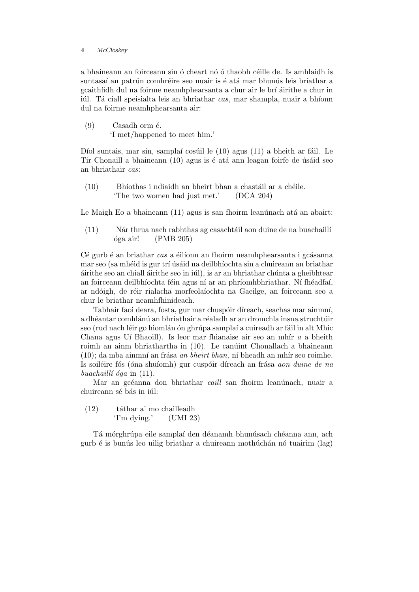a bhaineann an foirceann sin ó cheart nó ó thaobh céille de. Is amhlaidh is suntasaí an patrún comhréire seo nuair is é atá mar bhunús leis briathar a gcaithfidh dul na foirme neamhphearsanta a chur air le brí áirithe a chur in iúl. Tá ciall speisialta leis an bhriathar cas, mar shampla, nuair a bhíonn dul na foirme neamhphearsanta air:

 $(9)$  Casadh orm  $\acute{e}$ . 'I met/happened to meet him.'

Díol suntais, mar sin, samplaí cosúil le  $(10)$  agus  $(11)$  a bheith ar fáil. Le Tír Chonaill a bhaineann (10) agus is é atá ann leagan foirfe de úsáid seo an bhriathair cas:

 $(10)$  Bhíothas i ndiaidh an bheirt bhan a chastáil ar a chéile. 'The two women had just met.' (DCA 204)

Le Maigh Eo a bhaineann  $(11)$  agus is san fhoirm leanúnach atá an abairt:

 $(11)$  Nár thrua nach rabhthas ag casachtáil aon duine de na buachaillí  $\delta$ ga air! (PMB 205)

 $Cé gurb é an briathar  $cas$  a éilíonn an fhoirm neamhphearsanta i gcásanna$ mar seo (sa mhéid is gur trí úsáid na deilbhíochta sin a chuireann an briathar ´airithe seo an chiall ´airithe seo in i´ul), is ar an bhriathar ch´unta a gheibhtear an foirceann deilbhíochta féin agus ní ar an phríomhbhriathar. Ní fhéadfaí, ar ndóigh, de réir rialacha morfeolaíochta na Gaeilge, an foirceann seo a chur le briathar neamhfhinideach.

Tabhair faoi deara, fosta, gur mar chuspóir díreach, seachas mar ainmní, a dhéantar comhlánú an bhriathair a réaladh ar an dromchla insna struchtúir seo (rud nach léir go hiomlán ón ghrúpa samplaí a cuireadh ar fáil in alt Mhic Chana agus Uí Bhaoill). Is leor mar fhianaise air seo an mhír  $a$  a bheith roimh an ainm bhriathartha in (10). Le canúint Chonallach a bhaineann  $(10)$ ; da mba ainmní an frása *an bheirt bhan*, ní bheadh an mhír seo roimhe. Is soiléire fós (óna shuíomh) gur cuspóir díreach an frása aon duine de na buachaillí óga in  $(11)$ .

Mar an gcéanna don bhriathar *caill* san fhoirm leanúnach, nuair a chuireann sé bás in iúl:

 $(12)$  táthar a' mo chailleadh 'I'm dying.' (UMI 23)

Tá mórghrúpa eile samplaí den déanamh bhunúsach chéanna ann, ach gurb é is bunús leo uilig briathar a chuireann mothúchán nó tuairim (lag)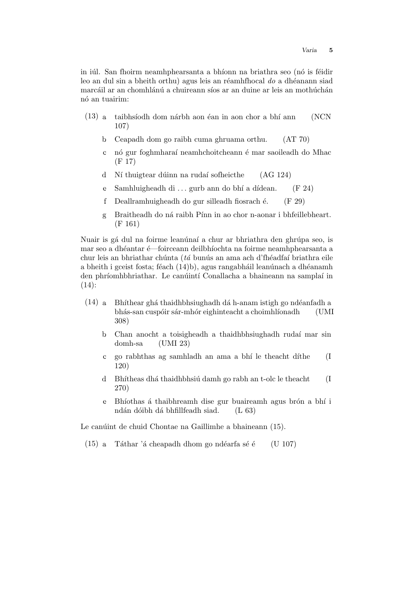in iúl. San fhoirm neamhphearsanta a bhíonn na briathra seo (nó is féidir leo an dul sin a bheith orthu) agus leis an réamhfhocal do a dhéanann siad marcáil ar an chomhlánú a chuireann síos ar an duine ar leis an mothúchán nó an tuairim<sup>.</sup>

- $(13)$  a. taibhsíodh dom nárbh aon éan in aon chor a bhí ann (NCN) 107)
	- b. Ceapadh dom go raibh cuma ghruama orthu. (AT 70)
	- c. nó gur foghmharaí neamhchoitcheann é mar saoileadh do Mhac (F 17)
	- d. Ní thuigtear dúinn na rudaí sofheicthe (AG 124)
	- e. Samhluigheadh di ... gurb ann do bhí a dídean. (F 24)
	- f. Deallramhuigheadh do gur silleadh fiosrach é.  $(F 29)$
	- g. Braitheadh do ná raibh Pínn in ao chor n-aonar i bhfeillebheart. (F 161)

Nuair is gá dul na foirme leanúnaí a chur ar bhriathra den ghrúpa seo, is mar seo a dhéantar é—foirceann deilbhíochta na foirme neamhphearsanta a chur leis an bhriathar chúnta (tá bunús an ama ach d'fhéadfaí briathra eile a bheith i gceist fosta; féach  $(14)b$ , agus rangabháil leanúnach a dhéanamh den phríomhbhriathar. Le canúintí Conallacha a bhaineann na samplaí in  $(14)$ :

- $(14)$  a. Bhíthear ghá thaidhbhsiughadh dá h-anam istigh go ndéanfadh a bhás-san cuspóir sár-mhór eighinteacht a choimhlíonadh (UMI 308)
	- b. Chan anocht a toisigheadh a thaidhbhsiughadh rudaí mar sin domh-sa (UMI 23)
	- c. go rabhthas ag samhladh an ama a bh´ı le theacht d´ıthe (I 120)
	- d Bhítheas dhá thaidhbhsiú damh go rabh an t-olc le theacht (I 270)
	- e. Bhíothas á thaibhreamh dise gur buaireamh agus brón a bhí i ndán dóibh dá bhfillfeadh siad. (L 63)

Le canúint de chuid Chontae na Gaillimhe a bhaineann (15).

 $(15)$  a. Táthar 'á cheapadh dhom go ndéarfa sé é  $(U 107)$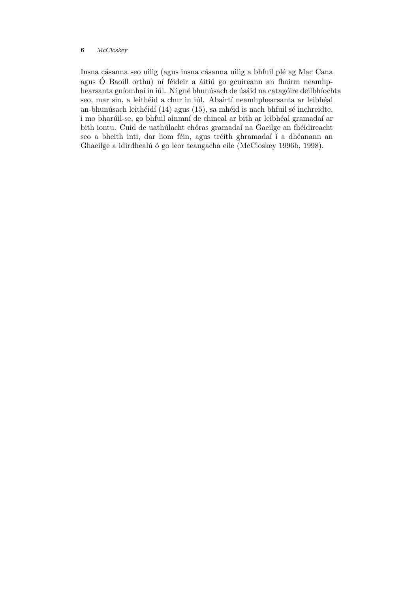Insna cásanna seo uilig (agus insna cásanna uilig a bhfuil plé ag Mac Cana agus Ó Baoill orthu) ní féideir a áitiú go gcuireann an fhoirm neamhphearsanta gníomhaí in iúl. Ní gné bhunúsach de úsáid na catagóire deilbhíochta seo, mar sin, a leithéid a chur in iúl. Abairtí neamhphearsanta ar leibhéal an-bhunúsach leithéidí  $(14)$  agus  $(15)$ , sa mhéid is nach bhfuil sé inchreidte, i mo bharúil-se, go bhfuil ainmní de chineal ar bith ar leibhéal gramadaí ar bith iontu. Cuid de uathúlacht chóras gramadaí na Gaeilge an fhéidireacht seo a bheith inti, dar liom féin, agus tréith ghramadaí í a dhéanann an Ghaeilge a idirdhealú ó go leor teangacha eile (McCloskey 1996b, 1998).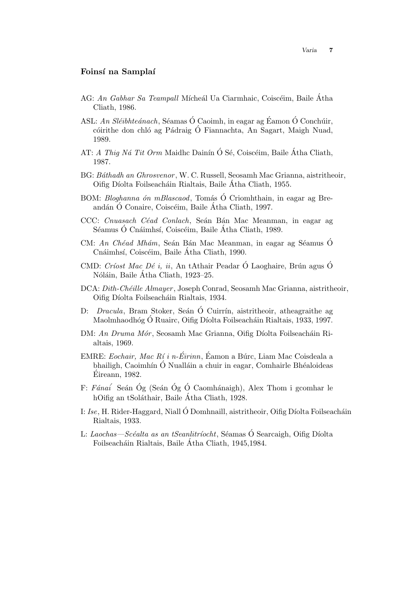### Foinsí na Samplaí

- AG: An Gabhar Sa Teampall Mícheál Ua Ciarmhaic, Coiscéim, Baile Átha Cliath, 1986.
- ASL: An Sléibhteánach, Séamas Ó Caoimh, in eagar ag Éamon Ó Conchúir, cóirithe don chló ag Pádraig Ó Fiannachta, An Sagart, Maigh Nuad, 1989.
- AT: A Thig Ná Tit Orm Maidhc Dainín Ó Sé, Coiscéim, Baile Átha Cliath, 1987.
- BG: Báthadh an Ghrosvenor, W. C. Russell, Seosamh Mac Grianna, aistritheoir, Oifig Díolta Foilseacháin Rialtais, Baile Atha Cliath, 1955.
- BOM: *Bloghanna ón mBlascaod*, Tomás Ó Criomhthain, in eagar ag Breandán Ó Conaire, Coiscéim, Baile Átha Cliath, 1997.
- CCC: Cnuasach Céad Conlach, Seán Bán Mac Meanman, in eagar ag Séamus Ó Cnáimhsí, Coiscéim, Baile Átha Cliath, 1989.
- CM: An Chéad Mhám, Seán Bán Mac Meanman, in eagar ag Séamus Ó Cnáimhsí, Coiscéim, Baile Átha Cliath, 1990.
- CMD: Críost Mac Dé i, ii, An tAthair Peadar Ó Laoghaire, Brún agus Ó Nóláin, Baile Átha Cliath, 1923–25.
- DCA: Dith-Chéille Almayer, Joseph Conrad, Seosamh Mac Grianna, aistritheoir, Oifig Díolta Foilseacháin Rialtais, 1934.
- D: *Dracula*, Bram Stoker, Seán Ó Cuirrín, aistritheoir, atheagraithe ag Maolmhaodhóg Ó Ruairc, Oifig Díolta Foilseacháin Rialtais, 1933, 1997.
- DM: An Druma Mór, Seosamh Mac Grianna, Oifig Díolta Foilseacháin Rialtais, 1969.
- EMRE: Eochair, Mac Rí i n-Éirinn, Éamon a Búrc, Liam Mac Coisdeala a bhailigh, Caoimhín Ó Nualláin a chuir in eagar, Comhairle Bhéaloideas Eireann, 1982. ´
- F: Fánaí Seán Óg (Seán Óg Ó Caomhánaigh), Alex Thom i gcomhar le hOifig an tSoláthair, Baile Átha Cliath, 1928.
- I: Ise, H. Rider-Haggard, Niall Ó Domhnaill, aistritheoir, Oifig Díolta Foilseacháin Rialtais, 1933.
- L: Laochas—Scéalta as an tSeanlitríocht, Séamas Ó Searcaigh, Oifig Díolta Foilseacháin Rialtais, Baile Átha Cliath, 1945,1984.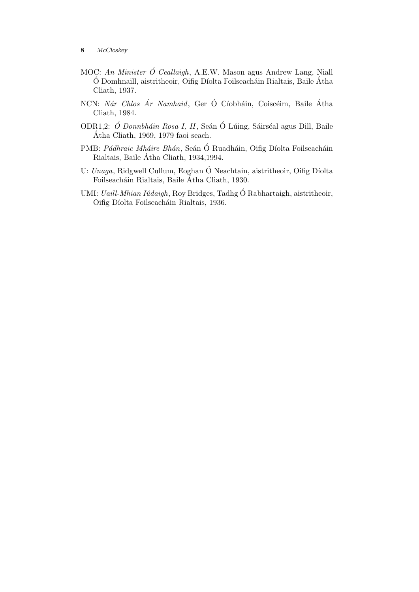- MOC: An Minister  $\acute{o}$  Ceallaigh, A.E.W. Mason agus Andrew Lang, Niall  $\acute{O}$  Domhnaill, aistritheoir, Oifig Díolta Foilseacháin Rialtais, Baile Átha Cliath, 1937.
- NCN: Nár Chlos Ár Namhaid, Ger Ó Cíobháin, Coiscéim, Baile Átha Cliath, 1984.
- ODR1,2: Ó Donnbháin Rosa I, II, Seán Ó Lúing, Sáirséal agus Dill, Baile Atha Cliath, 1969, 1979 faoi seach. ´
- PMB: Pádhraic Mháire Bhán, Seán Ó Ruadháin, Oifig Díolta Foilseacháin Rialtais, Baile Atha Cliath, 1934,1994. ´
- U: Unaga, Ridgwell Cullum, Eoghan Ó Neachtain, aistritheoir, Oifig Díolta Foilseacháin Rialtais, Baile Átha Cliath, 1930.
- UMI: *Uaill-Mhian Iúdaigh*, Roy Bridges, Tadhg Ó Rabhartaigh, aistritheoir, Oifig Díolta Foilseacháin Rialtais, 1936.